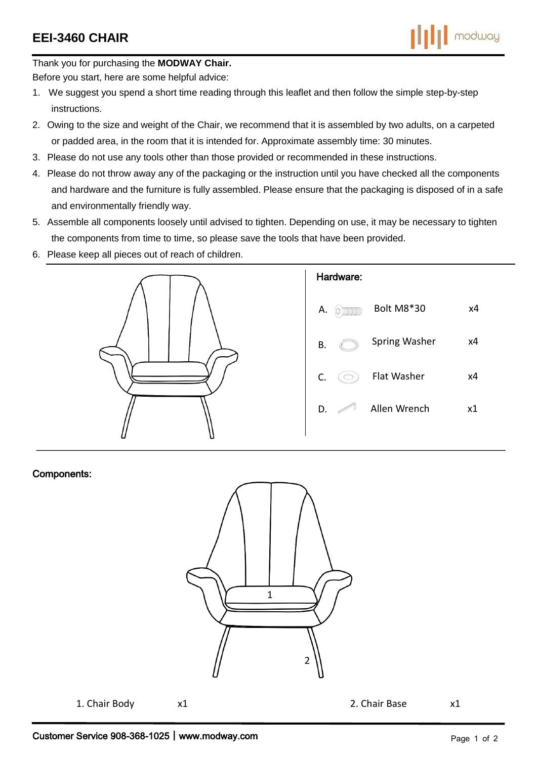

Thank you for purchasing the **MODWAY Chair.**

Before you start, here are some helpful advice:

- 1. We suggest you spend a short time reading through this leaflet and then follow the simple step-by-step instructions.
- 2. Owing to the size and weight of the Chair, we recommend that it is assembled by two adults, on a carpeted or padded area, in the room that it is intended for. Approximate assembly time: 30 minutes.
- 3. Please do not use any tools other than those provided or recommended in these instructions.
- 4. Please do not throw away any of the packaging or the instruction until you have checked all the components and hardware and the furniture is fully assembled. Please ensure that the packaging is disposed of in a safe and environmentally friendly way.
- 5. Assemble all components loosely until advised to tighten. Depending on use, it may be necessary to tighten the components from time to time, so please save the tools that have been provided.
- 6. Please keep all pieces out of reach of children.



## Components:



1. Chair Body  $x1$  2. Chair Base  $x1$